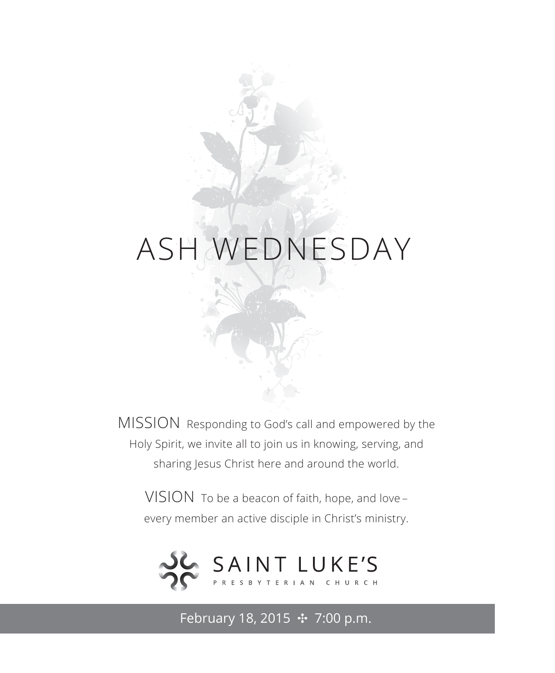# ASH WEDNESDAY

MISSION Responding to God's call and empowered by the Holy Spirit, we invite all to join us in knowing, serving, and sharing Jesus Christ here and around the world.

VISION To be a beacon of faith, hope, and love – every member an active disciple in Christ's ministry.



February 18, 2015 **↔** 7:00 p.m.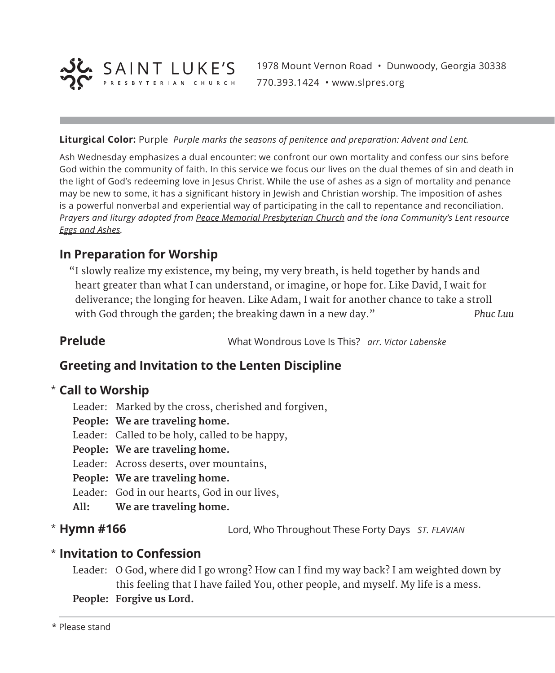

1978 Mount Vernon Road • Dunwoody, Georgia 30338 770.393.1424 • www.slpres.org

**Liturgical Color:** Purple *Purple marks the seasons of penitence and preparation: Advent and Lent.*

Ash Wednesday emphasizes a dual encounter: we confront our own mortality and confess our sins before God within the community of faith. In this service we focus our lives on the dual themes of sin and death in the light of God's redeeming love in Jesus Christ. While the use of ashes as a sign of mortality and penance may be new to some, it has a significant history in Jewish and Christian worship. The imposition of ashes is a powerful nonverbal and experiential way of participating in the call to repentance and reconciliation. *Prayers and liturgy adapted from Peace Memorial Presbyterian Church and the Iona Community's Lent resource Eggs and Ashes.*

# **In Preparation for Worship**

 "I slowly realize my existence, my being, my very breath, is held together by hands and heart greater than what I can understand, or imagine, or hope for. Like David, I wait for deliverance; the longing for heaven. Like Adam, I wait for another chance to take a stroll with God through the garden; the breaking dawn in a new day." *Phuc Luu*

**Prelude** What Wondrous Love Is This? *arr. Victor Labenske*

## **Greeting and Invitation to the Lenten Discipline**

## **Call to Worship**  \*

- Leader: Marked by the cross, cherished and forgiven,
- **People: We are traveling home.**
- Leader: Called to be holy, called to be happy,
- **People: We are traveling home.**
- Leader: Across deserts, over mountains,
- **People: We are traveling home.**
- Leader: God in our hearts, God in our lives,
- **All: We are traveling home.**
- \* Hymn #166

**Hymn #166** Lord, Who Throughout These Forty Days *ST. FLAVIAN*

## **Invitation to Confession** \*

- Leader: O God, where did I go wrong? How can I find my way back? I am weighted down by this feeling that I have failed You, other people, and myself. My life is a mess. **People: Forgive us Lord.**
-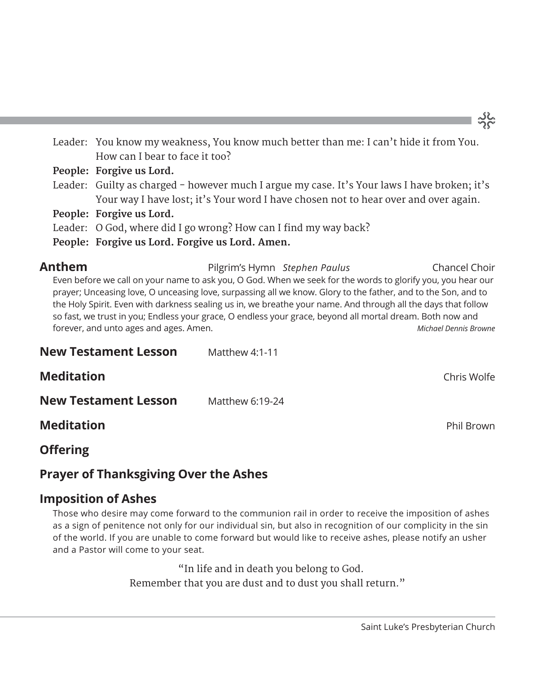Leader: You know my weakness, You know much better than me: I can't hide it from You. How can I bear to face it too? **People: Forgive us Lord.** Leader: Guilty as charged - however much I argue my case. It's Your laws I have broken; it's

Your way I have lost; it's Your word I have chosen not to hear over and over again.

**People: Forgive us Lord.**

Leader: O God, where did I go wrong? How can I find my way back?

**People: Forgive us Lord. Forgive us Lord. Amen.**

**Anthem** Pilgrim's Hymn *Stephen Paulus* Chancel Choir Even before we call on your name to ask you, O God. When we seek for the words to glorify you, you hear our prayer; Unceasing love, O unceasing love, surpassing all we know. Glory to the father, and to the Son, and to the Holy Spirit. Even with darkness sealing us in, we breathe your name. And through all the days that follow so fast, we trust in you; Endless your grace, O endless your grace, beyond all mortal dream. Both now and forever, and unto ages and ages. Amen. *Michael Dennis Browne*

| <b>New Testament Lesson</b> | Matthew $4:1-11$ |                   |
|-----------------------------|------------------|-------------------|
| <b>Meditation</b>           |                  | Chris Wolfe       |
| <b>New Testament Lesson</b> | Matthew 6:19-24  |                   |
| <b>Meditation</b>           |                  | <b>Phil Brown</b> |

**Offering** 

# **Prayer of Thanksgiving Over the Ashes**

# **Imposition of Ashes**

Those who desire may come forward to the communion rail in order to receive the imposition of ashes as a sign of penitence not only for our individual sin, but also in recognition of our complicity in the sin of the world. If you are unable to come forward but would like to receive ashes, please notify an usher and a Pastor will come to your seat.

> "In life and in death you belong to God. Remember that you are dust and to dust you shall return."

# သိုင္တဲ့